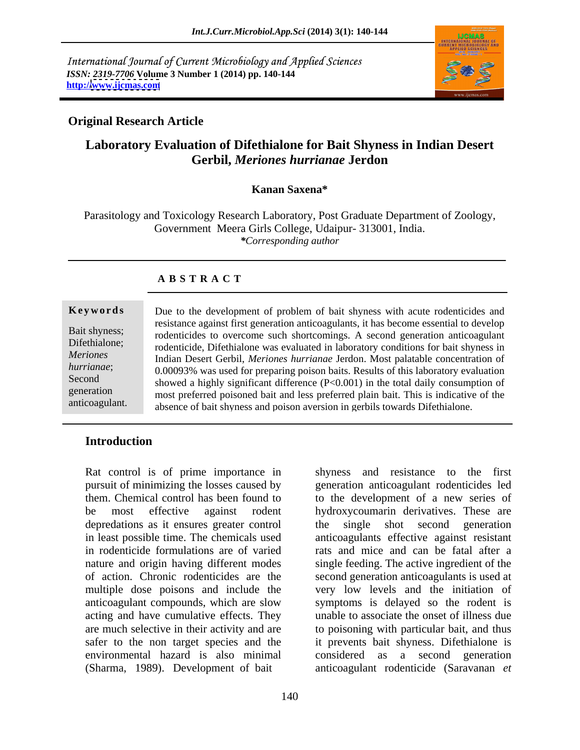International Journal of Current Microbiology and Applied Sciences *ISSN: 2319-7706* **Volume 3 Number 1 (2014) pp. 140-144 http:/[/www.ijcmas.com](http://www.ijcmas.com)**



## **Original Research Article**

# **Laboratory Evaluation of Difethialone for Bait Shyness in Indian Desert Gerbil,** *Meriones hurrianae* **Jerdon**

### **Kanan Saxena\***

Parasitology and Toxicology Research Laboratory, Post Graduate Department of Zoology, Government Meera Girls College, Udaipur- 313001, India. *\*Corresponding author*

### **A B S T R A C T**

**Keywords** Due to the development of problem of bait shyness with acute rodenticides and Bait shyness;<br>
rodenticides to overcome such shortcomings. A second generation anticoagulant Difethialone;<br>
rodenticide, Difethialone was evaluated in laboratory conditions for bait shyness in *Meriones*  Indian Desert Gerbil, *Meriones hurrianae* Jerdon. Most palatable concentration of *hurrianae*; 0.00093% was used for preparing poison baits. Results of this laboratory evaluation Second<br>
showed a highly significant difference (P<0.001) in the total daily consumption of generation most preferred poisoned bait and less preferred plain bait. This is indicative of the anticoagulant.<br>absence of bait shyness and poison aversion in gerbils towards Difethialone. resistance against first generation anticoagulants, it has become essential to develop

### **Introduction**

Rat control is of prime importance in depredations as it ensures greater control the single shot second generation acting and have cumulative effects. They environmental hazard is also minimal (Sharma, 1989). Development of bait anticoagulant rodenticide (Saravanan *et* 

pursuit of minimizing the losses caused by generation anticoagulant rodenticides led them. Chemical control has been found to to the development of a new series of be most effective against rodent hydroxycoumarin derivatives. These are in least possible time. The chemicals used anticoagulants effective against resistant in rodenticide formulations are of varied rats and mice and can be fatal after a nature and origin having different modes single feeding. The active ingredient of the of action. Chronic rodenticides are the second generation anticoagulants is used at multiple dose poisons and include the very low levels and the initiation of anticoagulant compounds, which are slow symptomsis delayed so the rodent is are much selective in their activity and are to poisoning with particular bait, and thus safer to the non target species and the it prevents bait shyness. Difethialone is shyness and resistance to the first the single shot second generation unable to associate the onset of illness due considered as a second generation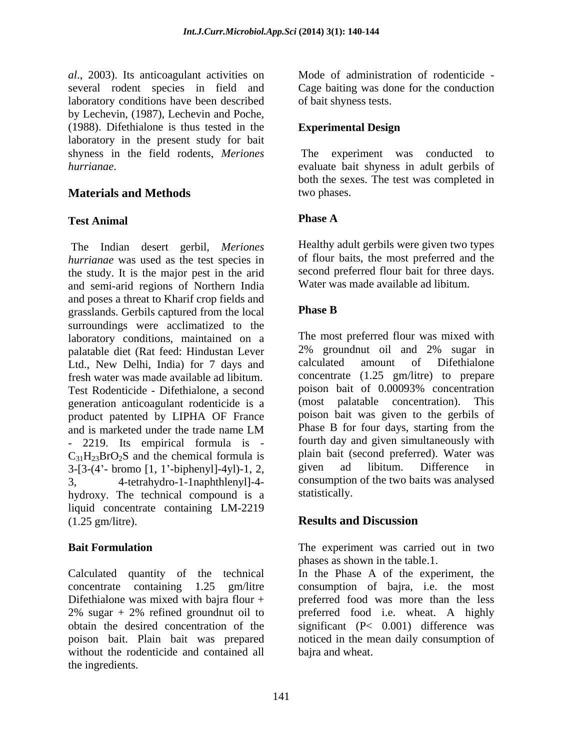*al*., 2003). Its anticoagulant activities on several rodent species in field and Cage baiting was done for the conduction laboratory conditions have been described by Lechevin, (1987), Lechevin and Poche, (1988). Difethialone is thus tested in the laboratory in the present study for bait<br>shyness in the field rodents. Meriones shyness in the field rodents, *Meriones*  The experiment was conducted to

# **Materials and Methods** two phases.

## **Test Animal**

The Indian desert gerbil, *Meriones hurrianae* was used as the test species in the study. It is the major pest in the arid and semi-arid regions of Northern India and poses a threat to Kharif crop fields and<br>
grasslands. Gerbils captured from the local Phase B grasslands. Gerbils captured from the local surroundings were acclimatized to the laboratory conditions, maintained on a<br>
The most preferred flour was mixed with<br>
palatable diet (Rat feed: Hindustan Lever 2% groundnut oil and 2% sugar in palatable diet (Rat feed: Hindustan Lever 2% groundnut oil and 2% sugar in<br>Ltd. New Delhi India) for 7 days and calculated amount of Difethialone Ltd., New Delhi, India) for 7 days and fresh water was made available ad libitum. Test Rodenticide - Difethialone, a second generation anticoagulant rodenticide is a product patented by LIPHA OF France poison bait was given to the gerbils of and is marketed under the trade name IM Phase B for four days, starting from the and is marketed under the trade name LM Phase B for four days, starting from the - 2219. Its empirical formula is -  $C_{31}H_{23}BrO_2S$  and the chemical formula is plain bait (second preferred). Water was<br>3-13- $(4)$ - bromo 11 1'-binhenvll-4vl)-1 2 given ad libitum. Difference in  $3-[3-(4'-bromo [1, 1'-bipheny]]-4yl)-1, 2,$ 3, 4-tetrahydro-1-1naphthlenyl]-4- consumption of the two baits was analysed hydroxy. The technical compound is a statistically. liquid concentrate containing LM-2219 (1.25 gm/litre).

Calculated quantity of the technical In the Phase A of the experiment, the concentrate containing 1.25 gm/litre consumption of bajra, i.e. the most Difethialone was mixed with bajra flour + preferred food was more than the less 2% sugar + 2% refined groundnut oil to <br>preferred food i.e. wheat. A highly obtain the desired concentration of the significant (P< 0.001) difference was poison bait. Plain bait was prepared noticed in the mean daily consumption of without the rodenticide and contained all the ingredients.

Mode of administration of rodenticide of bait shyness tests.

## **Experimental Design**

*hurrianae*. evaluate bait shyness in adult gerbils of both the sexes. The test was completed in two phases.

## **Phase A**

Healthy adult gerbils were given two types of flour baits, the most preferred and the second preferred flour bait for three days. Water was made available ad libitum.

### **Phase B**

The most preferred flour was mixed with 2% groundnut oil and 2% sugar in calculated amount of Difethialone concentrate (1.25 gm/litre) to prepare poison bait of 0.00093% concentration (most palatable concentration). This poison bait was given to the gerbils of Phase B for four days, starting from the fourth day and given simultaneously with plain bait (second preferred). Water was given ad libitum. Difference in statistically.

# **Results and Discussion**

**Bait Formulation**  The experiment was carried out in two phases as shown in the table.1.

> preferred food i.e. wheat. A highly bajra and wheat.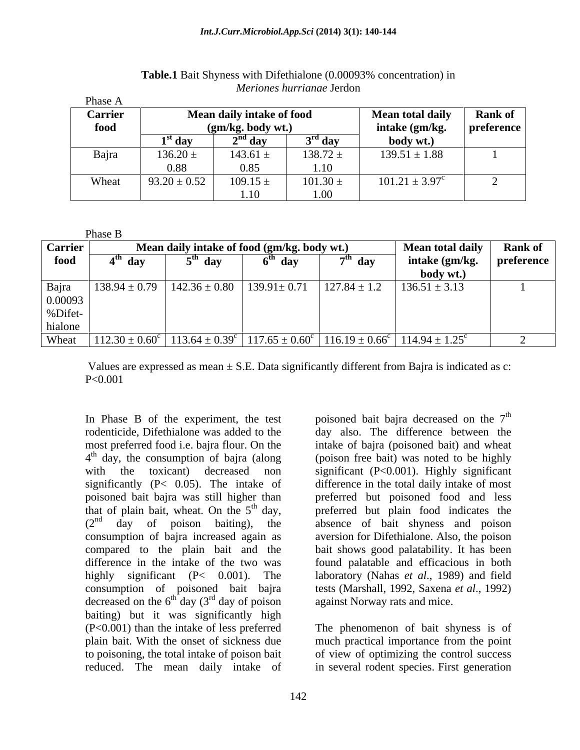| Phase A        |                           |         |                         |                           |  |
|----------------|---------------------------|---------|-------------------------|---------------------------|--|
| <b>Carrier</b> | Mean daily intake of food |         | <b>Mean total daily</b> | <b>Rank of</b>            |  |
| food           | $(gm/kg.$ body wt.)       |         | intake (gm/kg.          | preference                |  |
|                | $1st$ day                 | ` dav   | ` dav                   | body wt.)                 |  |
| Bajra          | $136.20 \pm$              | 143.61  | $138.72 \pm$            | $139.51 \pm 1.88$         |  |
|                | 0.88                      | 0.85    | 1.10                    |                           |  |
| Wheat          | $93.20 \pm 0.52$          | 109.15: | $101.30 \pm$            | $101.21 \pm 3.97^{\circ}$ |  |
|                |                           | 1.10    | 1.00                    |                           |  |

**Table.1** Bait Shyness with Difethialone (0.00093% concentration) in *Meriones hurrianae* Jerdon

|                | Phase B             |                                             |                         |                  |                                                                                                                                                       |                           |
|----------------|---------------------|---------------------------------------------|-------------------------|------------------|-------------------------------------------------------------------------------------------------------------------------------------------------------|---------------------------|
| <b>Carrier</b> |                     | Mean daily intake of food (gm/kg. body wt.) | <b>Mean total daily</b> | <b>Rank of</b>   |                                                                                                                                                       |                           |
| food           | 4 <sup>tn</sup> day | 5 <sup>th</sup> dav                         | 6 <sup>tn</sup> day     | $7th$ day        | intake (gm/kg.                                                                                                                                        | $\blacksquare$ preference |
|                |                     |                                             |                         |                  | body wt.)                                                                                                                                             |                           |
| Bajra          | $138.94 \pm 0.79$   | $142.36 \pm 0.80$                           | $139.91 \pm 0.71$       | $127.84 \pm 1.2$ | $136.51 \pm 3.13$                                                                                                                                     |                           |
| 0.00093        |                     |                                             |                         |                  |                                                                                                                                                       |                           |
| %Difet-        |                     |                                             |                         |                  |                                                                                                                                                       |                           |
| hialone        |                     |                                             |                         |                  |                                                                                                                                                       |                           |
| Wheat          |                     |                                             |                         |                  | $112.30 \pm 0.60^{\circ}$ 113.64 $\pm$ 0.39 <sup>c</sup> 117.65 $\pm$ 0.60 <sup>c</sup> 116.19 $\pm$ 0.66 <sup>c</sup> 114.94 $\pm$ 1.25 <sup>c</sup> |                           |

Values are expressed as mean  $\pm$  S.E. Data significantly different from Bajra is indicated as c: P<0.001

In Phase B of the experiment, the test poisoned bait bajra decreased on the  $7<sup>th</sup>$ rodenticide, Difethialone was added to the day also. The difference between the most preferred food i.e. bajra flour. On the intake of bajra (poisoned bait) and wheat 4<sup>th</sup> day, the consumption of bajra (along (poison free bait) was noted to be highly  $4<sup>th</sup>$  day, the consumption of bajra (along with the toxicant) decreased non significant (P<0.001). Highly significant significantly (P< 0.05). The intake of difference in the total daily intake of most poisoned bait bajra was still higher than<br>that of plain bait, wheat. On the  $5<sup>th</sup>$  day, that of plain bait, wheat. On the  $5<sup>th</sup>$  day, preferred but plain food indicates the (2<sup>nd</sup> day of poison baiting), the absence of bait shyness and poison consumption of bajra increased again as aversion for Difethialone. Also, the poison compared to the plain bait and the bait shows good palatability. It has been difference in the intake of the two was found palatable and efficacious in both highly significant (P< 0.001). The laboratory (Nahas *et al*., 1989) and field consumption of poisoned bait bajra tests (Marshall, 1992, Saxena *et al*., 1992) decreased on the  $6^{th}$  day  $(3^{rd}$  day of poison baiting) but it was significantly high (P<0.001) than the intake of less preferred plain bait. With the onset of sickness due much practical importance from the point to poisoning, the total intake of poison bait of view of optimizing the control success

 $\int^{\text{th}}$  day  $(3^{\text{rd}}$  day of poison against Norway rats and mice. th preferred but poisoned food and less

reduced. The mean daily intake of in several rodent species. First generationThe phenomenon of bait shyness is of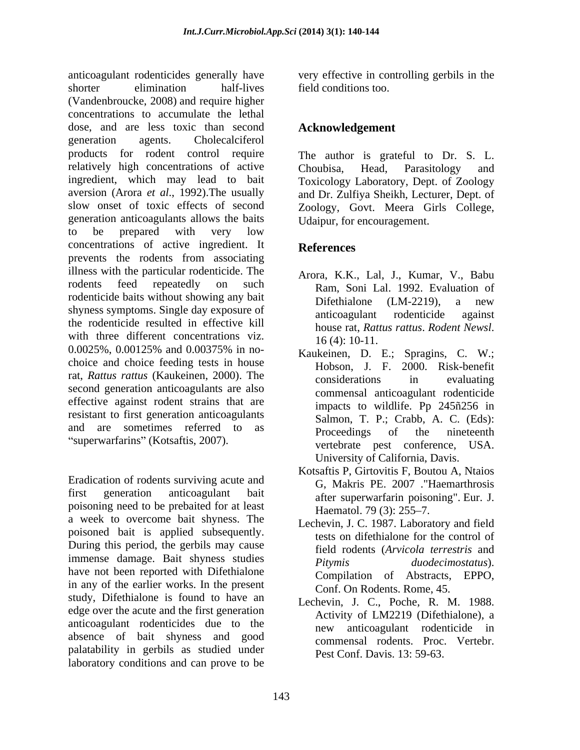anticoagulant rodenticides generally have very effective in controlling gerbils in the shorter elimination half-lives field conditions too. (Vandenbroucke, 2008) and require higher concentrations to accumulate the lethal dose, and are less toxic than second generation agents. Cholecalciferol products for rodent control require The author is grateful to Dr. S. L. relatively high concentrations of active Choubisa, Head, Parasitology and ingredient, which may lead to bait aversion (Arora *et al*., 1992).The usually and Dr. Zulfiya Sheikh, Lecturer, Dept. of slow onset of toxic effects of second Zoology, Govt. Meera Girls College, generation anticoagulants allows the baits to be prepared with very low concentrations of active ingredient. It References prevents the rodents from associating illness with the particular rodenticide. The rodents feed repeatedly on such Ram, Soni Lal. 1992. Evaluation of rodenticide baits without showing any bait<br>Difethialone (LM-2219), a new shyness symptoms. Single day exposure of anticoagulant rodenticide against the rodenticide resulted in effective kill<br>house rat, Rattus rattus. Rodent Newsl. with three different concentrations viz.  $16(4): 10-11$ .  $0.0025\%$ ,  $0.00125\%$  and  $0.00375\%$  in no-<br>Kaukeinen D E Spragins C W · choice and choice feeding tests in house rat, *Rattus rattus* (Kaukeinen, 2000). The considerations in evaluating second generation anticoagulants are also effective against rodent strains that are resistant to first generation anticoagulants and are sometimes referred to as **Proceedings** of the nineteenth "superwarfarins" (Kotsaftis, 2007).

Eradication of rodents surviving acute and first generation anticoagulant bait after superwarfarin poisoning". Eur. J. poisoning need to be prebaited for at least<br>Haematol. 79 (3): 255–7. a week to overcome bait shyness. The poisoned bait is applied subsequently. During this period, the gerbils may cause immense damage. Bait shyness studies *Pitymis duodecimostatus*). have not been reported with Difethialone in any of the earlier works. In the present study, Difethialone is found to have an edge over the acute and the first generation anticoagulant rodenticides due to the absence of bait shyness and good palatability in gerbils as studied under laboratory conditions and can prove to be

field conditions too.

# **Acknowledgement**

Choubisa, Head, Parasitology and Toxicology Laboratory, Dept. of Zoology Udaipur, for encouragement.

# **References**

- Arora, K.K., Lal, J., Kumar, V., Babu Difethialone (LM-2219), a new anticoagulant rodenticide against house rat, *Rattus rattus*. *Rodent Newsl*. 16 (4): 10-11.
- Kaukeinen, D. E.; Spragins, C. W.; Hobson, J. F. 2000. Risk-benefit considerations in evaluating commensal anticoagulant rodenticide impacts to wildlife. Pp 245ñ256 in Salmon, T. P.; Crabb, A. C. (Eds): Proceedings of the nineteenth vertebrate pest conference, USA. University of California, Davis.
- Kotsaftis P, Girtovitis F, Boutou A, Ntaios G, Makris PE. 2007 ."Haemarthrosis Haematol. 79 (3): 255–7.
- Lechevin, J. C. 1987. Laboratory and field tests on difethialone for the control of field rodents (*Arvicola terrestris* and *Pitymis duodecimostatus*). Compilation of Abstracts, EPPO, Conf. On Rodents. Rome, 45.
- Lechevin, J. C., Poche, R. M. 1988. Activity of LM2219 (Difethialone), a new anticoagulant rodenticide in commensal rodents. Proc. Vertebr. Pest Conf. Davis. 13: 59-63.